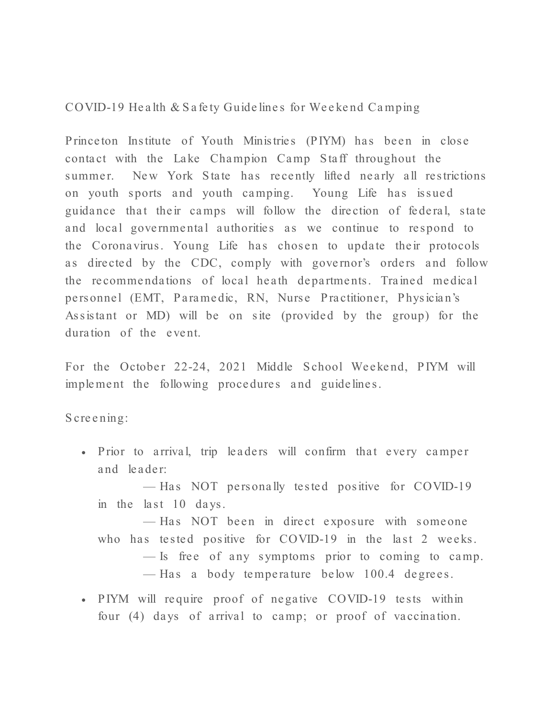COVID-19 He a lth & S a fe ty Guide line s for We e ke nd Ca mping

Prince ton Institute of Youth Ministries (PIYM) has been in close contact with the Lake Champion Camp Staff throughout the summer. New York State has recently lifted nearly all restrictions on youth sports and youth camping. Young Life has issued guidance that their camps will follow the direction of federal, state and local governmental authorities as we continue to respond to the Coronavirus. Young Life has chosen to update their protocols as directed by the CDC, comply with governor's orders and follow the recommendations of local heath departments. Trained medical pers onnel (EMT, Paramedic, RN, Nurse Practitioner, Physician's Assistant or MD) will be on site (provided by the group) for the duration of the event.

For the October 22-24, 2021 Middle School Weekend, PIYM will implement the following procedures and guidelines.

S cre e ning:

• Prior to arrival, trip leaders will confirm that every camper a nd le a de r:

— Has NOT personally tested positive for COVID-19 in the last  $10$  days.

— Has NOT been in direct exposure with someone who has tested positive for  $\text{COVID-19}$  in the last 2 weeks.

- $\overline{\phantom{a}}$  = Is free of any symptoms prior to coming to camp.
- Has a body temperature below 100.4 degrees.
- P IYM will require proof of negative COVID-19 tests within four  $(4)$  days of arrival to camp; or proof of vaccination.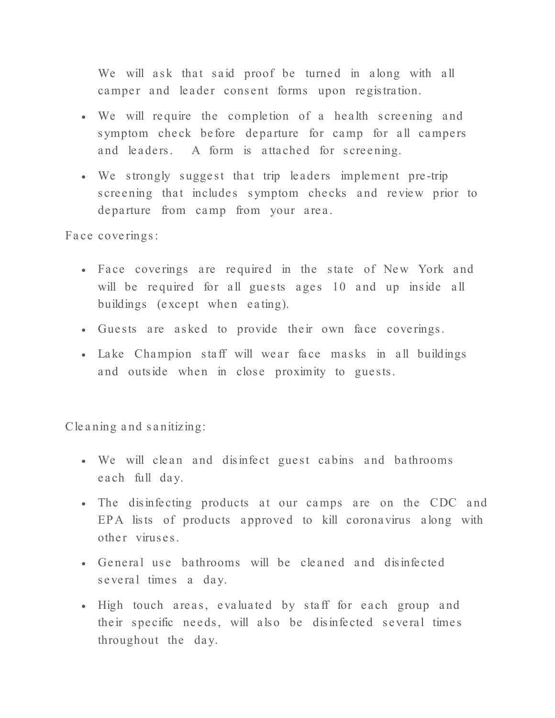We will ask that said proof be turned in along with all camper and leader consent forms upon registration.

- We will require the completion of a health screening and symptom check before departure for camp for all campers and leaders. A form is attached for screening.
- We strongly suggest that trip leaders implement pre-trip s creening that includes symptom checks and review prior to departure from camp from your area.

Face coverings:

- Face coverings are required in the state of New York and will be required for all guests ages 10 and up inside all buildings (except when eating).
- Guests are asked to provide their own face coverings.
- Lake Champion staff will wear face masks in all buildings and outside when in close proximity to guests.

Cleaning and sanitizing:

- We will clean and disinfect guest cabins and bathrooms e a ch full day.
- The disinfecting products at our camps are on the CDC and EPA lists of products approved to kill coronavirus along with other viruses.
- General use bathrooms will be cleaned and disinfected s e veral times a day.
- High touch areas, evaluated by staff for each group and their specific needs, will also be disinfected several times throughout the day.